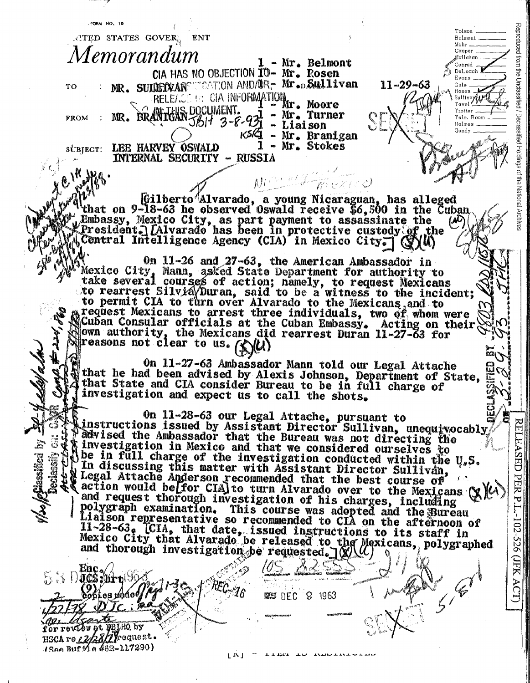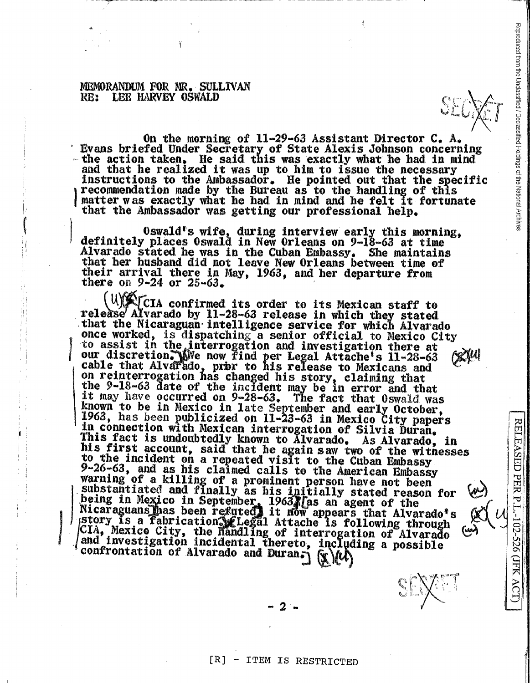## MEMORANDUM FOR MR. SULLIVAN RE: LEH HARVEY OSWALD

~-~ ---~--u-..,....---

>'

On the morning of  $11-29-63$  Assistant Director C. A. Evans briefed Under Secretary of State Alexis Johnson concerning<br>- the action taken. He said this was exactly what he had in mind<br>and that he realized it was up to him to issue the necessary<br>instructions to the Ambassador. ) recommendation made by the Bureau as to the handling of this matter was exactly what he had in mind and he felt it fortunate that the Ambassador was getting our professional help.

0swald's wife, during interview early this morning,<br>definitely places 0swald in New Orleans on 9-18-63 at time<br>Alvarado stated he was in the Cuban Embassy. She maintains<br>that her husband did not leave New Orleans between

 $\mathcal{L}(\mathcal{A})$  ( $\mathcal{L}(\mathcal{C})$  confirmed its order to its Mexican staff to release Alvarado by 11-28-63 release in which they stated that the Nicaraguan intelligence service for which Alvarado once worked, is dispatching a senior official to Mexico City<br>to assist in the interrogation and investigation there at<br>our discretion. Whe now find per Legal Attache's 11-28-63 our discretion. Whe now find per Legal Attache's 11-28-63 (X)<sup>4</sup> cable that Alvarado, prbr to his release to Mexicans and on reinterrogation has changed his story, claiming that<br>the 9-18-63 date of the incident may be in error and that<br>it may have occurred on 9-28-63. The fact that Oswald was<br>known to be in Mexico in late September and early In connection with Mexican interrogation of Silvia Duran.<br>
This fact is undoubtedly known to Alvarado. As Alvarado, in<br>
his first account, said that he again saw two of the witnesses<br>
to the incident on a repeated visit t - W8  $\frac{5-20-00}{10}$ , and as his claimed calls to the American Embassy<br>warning of a killing of a prominent person have not been<br>substantiated and finally as his initially stated reason for  $\omega$ substantiated and finally as his initially stated reason for (w)<br>being in Mexico in September, 1963 *las an agent of the*<br>Nicaraguans has been refuted it now appears that Alvarado's (x)  $\left\| \begin{array}{cc} \n\cdot & \cdot \\ \n\cdot & \cdot \n\end{array} \right$  $\vert \ \ \vert$ story is a fabrication **Legal Attache is following through**  $\begin{bmatrix} 0 & 0 \\ 0 & 0 \end{bmatrix}$   $\begin{bmatrix} 0 & 0 \\ 0 & 0 \end{bmatrix}$  $\vert$  and investigation incidental thereto, including a possible  $\vert\vert\frac{\infty}{\infty}\vert$ confrontation of Alvarado and Duran.)  $f(\sqrt{u})$ 

 $\mathscr{L}$  1. The set of  $\mathbb{H}$ 

 $c$   $|X^*|$   $|X|$ *~,j(.* Id/ <sup>i</sup>

11 I I,